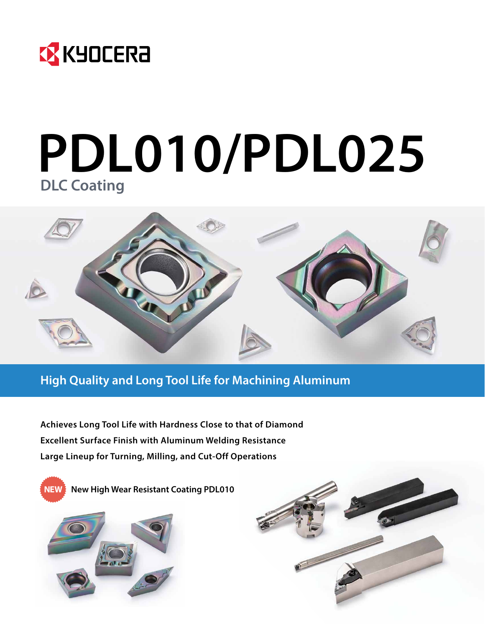

# **PDL010/PDL025 DLC Coating**



### **High Quality and Long Tool Life for Machining Aluminum**

**Achieves Long Tool Life with Hardness Close to that of Diamond Excellent Surface Finish with Aluminum Welding Resistance Large Lineup for Turning, Milling, and Cut-Off Operations**



**NEW New High Wear Resistant Coating PDL010**



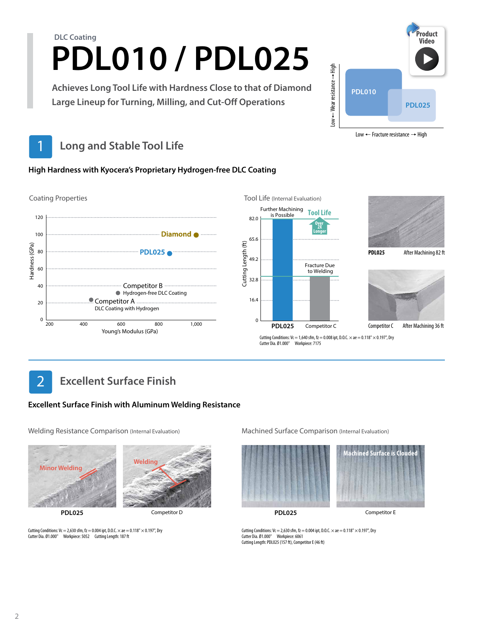# **PDL010 / PDL025 DLC Coating**

**Achieves Long Tool Life with Hardness Close to that of Diamond Large Lineup for Turning, Milling, and Cut-Off Operations**



Low  $\leftarrow$  Fracture resistance  $\rightarrow$  High

# **Long and Stable Tool Life**

#### **High Hardness with Kyocera's Proprietary Hydrogen-free DLC Coating**



# **Excellent Surface Finish**

#### **Excellent Surface Finish with Aluminum Welding Resistance**

Welding Resistance Comparison (Internal Evaluation) Machined Surface Comparison (Internal Evaluation)



**PDL025**



Cutting Conditions:  $Vc = 2,630$  sfm,  $fz = 0.004$  ipt, D.O.C.  $\times$  ae  $= 0.118" \times 0.197"$ , Dry Cutter Dia. Ø1.000" Workpiece: 5052 Cutting Length: 187 ft





**PDL025**

Competitor D **PDL025** Competitor E

Cutting Conditions: Vc = 2,630 sfm, fz = 0.004 ipt, D.O.C.  $\times$  ae = 0.118"  $\times$  0.197", Dry Cutter Dia. Ø1.000" Workpiece: 6061 Cutting Length: PDL025 (157 ft), Competitor E (46 ft)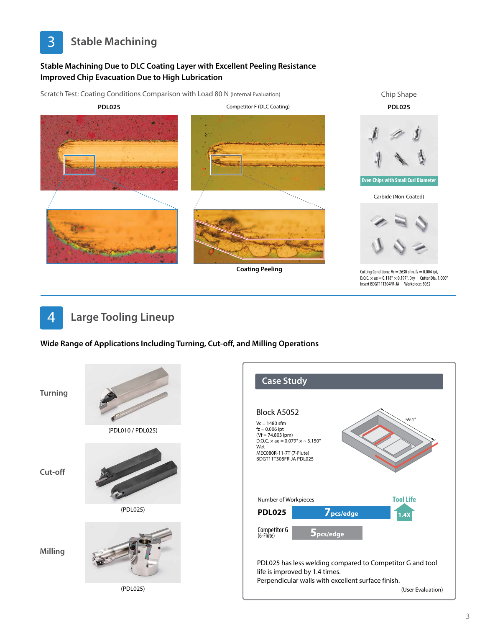

#### **Stable Machining Due to DLC Coating Layer with Excellent Peeling Resistance Improved Chip Evacuation Due to High Lubrication**

Scratch Test: Coating Conditions Comparison with Load 80 N (Internal Evaluation) Chip Shape **PDL025** Competitor F (DLC Coating) **PDL025 Even Chips with Small Curl Diameter** an personal de la propincia de la propincia de la propincia de la propincia de la propincia de la propincia de<br>La propincia de la propincia de la propincia de la propincia de la propincia de la propincia de la propincia d Carbide (Non-Coated) **Coating Peeling** Cutting Conditions:  $Vc = 2630$  sfm, fz = 0.004 ipt, D.O.C. × ae = 0.118" × 0.197", Dry Cutter Dia. 1.000" Insert BDGT11T304FR-JA Workpiece: 5052



**Wide Range of Applications Including Turning, Cut-off, and Milling Operations**

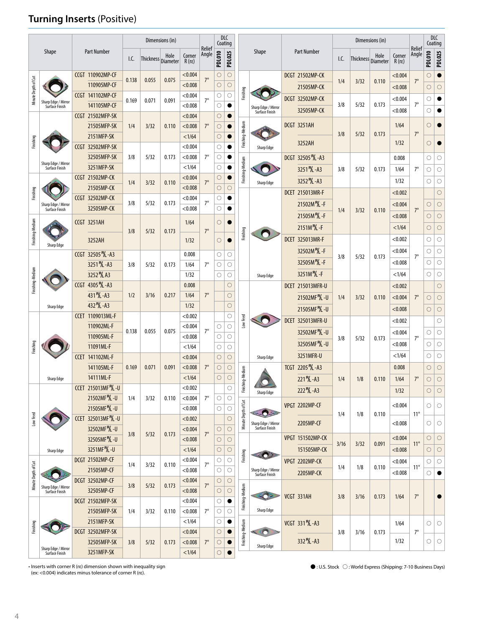### **Turning Inserts** (Positive)

|                     |                                       |                                                                  |                                 |             |                                                                 | Dimensions (in)      |                          |                 | <b>DLC</b><br>Coating |                    |                     |                                       |                                           |                                |                        |                    | Dimensions (in)         |                          |                 |                     | DLC<br>Coating      |                     |  |         |
|---------------------|---------------------------------------|------------------------------------------------------------------|---------------------------------|-------------|-----------------------------------------------------------------|----------------------|--------------------------|-----------------|-----------------------|--------------------|---------------------|---------------------------------------|-------------------------------------------|--------------------------------|------------------------|--------------------|-------------------------|--------------------------|-----------------|---------------------|---------------------|---------------------|--|---------|
|                     | <b>Shape</b>                          |                                                                  | <b>Part Number</b>              | I.C.        | Thickness Diameter                                              |                      | Corner<br>$R(r\epsilon)$ | Relief<br>Angle | <b>PDL010</b>         | <b>PDL025</b>      |                     | Shape                                 |                                           | <b>Part Number</b>             | I.C.                   | Thickness Diameter | Hole                    | Corner<br>$R(r\epsilon)$ | Relief<br>Angle | <b>PDL010</b>       | <b>PDL025</b>       |                     |  |         |
|                     |                                       |                                                                  | CCGT 110902MP-CF                | 0.138       | 0.055                                                           | 0.075                | < 0.004                  | $7^\circ$       | $\bigcirc$            | $\circ$            |                     |                                       |                                           | <b>DCGT 21502MP-CK</b>         |                        |                    |                         | < 0.004                  |                 | $\circ$             |                     |                     |  |         |
| Minute Depth of Cut |                                       |                                                                  | 110905MP-CF                     |             |                                                                 |                      | < 0.008                  |                 | $\bigcirc$            | $\circ$            |                     |                                       |                                           | 21505MP-CK                     | 1/4                    | 3/32               | 0.110                   | < 0.008                  | $7^\circ$       | $\circ$             | $\circ$             |                     |  |         |
|                     | Sharp Edge / Mirror                   |                                                                  | <b>CCGT 141102MP-CF</b>         | 0.169       | 0.071                                                           | 0.091                | < 0.004                  | $7^\circ$       | О                     | О                  | Finishing           |                                       |                                           | DCGT 32502MP-CK                |                        |                    |                         | < 0.004                  |                 | О                   |                     |                     |  |         |
|                     | Surface Finish                        |                                                                  | 141105MP-CF                     |             |                                                                 |                      | < 0.008                  |                 | $\circ$               | $\bullet$          |                     | Sharp Edge / Mirror<br>Surface Finish |                                           | 32505MP-CK                     | 3/8                    | 5/32               | 0.173                   | < 0.008                  | $7^\circ$       | О                   |                     |                     |  |         |
|                     |                                       |                                                                  | CCGT 21502MFP-SK                |             |                                                                 |                      | < 0.004                  |                 | $\bigcirc$            | $\bullet$          |                     |                                       |                                           |                                |                        |                    |                         |                          |                 |                     |                     |                     |  |         |
|                     |                                       |                                                                  | 21505MFP-SK                     | 1/4         | 3/32                                                            | 0.110                | < 0.008                  | $7^\circ$       | $\bigcirc$            | 0                  |                     |                                       |                                           | <b>DCGT 3251AH</b>             | 3/8                    | 5/32               | 0.173                   | 1/64                     | $7^\circ$       | О                   |                     |                     |  |         |
| Finishing           |                                       |                                                                  | 2151MFP-SK<br>CCGT 32502MFP-SK  |             |                                                                 |                      | <1/64<br>< 0.004         |                 | $\bigcirc$<br>$\circ$ |                    | Finishing-Medium    |                                       |                                           | 3252AH                         |                        |                    |                         | 1/32                     |                 | $\circ$             |                     |                     |  |         |
|                     |                                       |                                                                  | 32505MFP-SK                     | 3/8         | 5/32                                                            | 0.173                | < 0.008                  | $7^\circ$       | $\circ$               |                    |                     | Sharp Edge                            |                                           | DCGT 32505 M - A3              |                        |                    |                         | 0.008                    |                 | $\circlearrowright$ | О                   |                     |  |         |
|                     | Sharp Edge / Mirror<br>Surface Finish |                                                                  | 3251MFP-SK                      |             |                                                                 |                      | <1/64                    |                 | $\circ$               | ●                  | Finishing-Medium    |                                       |                                           | 3251 <sup>R</sup> L-A3         | 3/8                    | 5/32               | 0.173                   | 1/64                     | $7^\circ$       | $\circlearrowright$ | $\circlearrowright$ |                     |  |         |
|                     |                                       |                                                                  | <b>CCGT 21502MP-CK</b>          |             |                                                                 |                      | < 0.004                  |                 | $\circ$               |                    |                     |                                       |                                           |                                |                        |                    |                         |                          |                 |                     |                     |                     |  |         |
|                     |                                       | 1/4<br>21505MP-CK<br><b>CCGT 32502MP-CK</b><br>3/8<br>32505MP-CK | 3/32                            | 0.110       | < 0.008                                                         | $7^\circ$            | $\circ$                  | $\circ$         |                       | Sharp Edge         |                     | 3252 ML-A3                            |                                           |                                |                        | 1/32               |                         | О                        | О               |                     |                     |                     |  |         |
| Finishing           |                                       |                                                                  |                                 |             |                                                                 |                      | < 0.004                  |                 | О                     | $\bullet$          |                     |                                       |                                           | <b>DCET 215013MR-F</b>         |                        |                    |                         | < 0.002                  |                 |                     | $\circ$             |                     |  |         |
|                     | Sharp Edge / Mirror<br>Surface Finish |                                                                  |                                 | 5/32        | 0.173                                                           | < 0.008              | $7^\circ$                | $\circ$         | 0                     |                    |                     |                                       | 21502M <sup>R</sup> L-F                   | 1/4                            | 3/32                   | 0.110              | < 0.004                 | $7^\circ$                | $\circ$         | $\circ$             |                     |                     |  |         |
|                     |                                       |                                                                  | <b>CCGT 3251AH</b>              |             |                                                                 |                      | 1/64                     |                 | $\circ$               |                    |                     |                                       |                                           | 21505M ML-F                    |                        |                    |                         | < 0.008                  |                 | $\circ$             | $\circ$             |                     |  |         |
| Finishing-Medium    |                                       |                                                                  |                                 | 3/8         | 5/32                                                            | 0.173                |                          | $7^\circ$       |                       |                    | Finishing           |                                       |                                           | 2151M ML-F                     |                        |                    |                         | <1/64                    |                 | $\circ$             | $\circ$             |                     |  |         |
|                     | Sharp Edge                            |                                                                  | 3252AH                          |             |                                                                 |                      |                          | 1/32            |                       | $\bigcirc$         |                     |                                       |                                           |                                | <b>DCET 325013MR-F</b> |                    |                         |                          | < 0.002         |                     | $\circlearrowright$ | $\circlearrowright$ |  |         |
|                     |                                       |                                                                  | CCGT 32505 <sup>R</sup> /L - A3 |             |                                                                 |                      | 0.008                    |                 | $\circ$               | О                  |                     |                                       |                                           | 32502M ML-F                    | 3/8                    | 5/32               | 0.173                   | < 0.004                  | $7^\circ$       | O                   | $\circlearrowright$ |                     |  |         |
|                     |                                       |                                                                  | 3251 <sup>R</sup> /L-A3         | 3/8         | 5/32                                                            | 0.173                | 1/64                     | $7^\circ$       | $\circ$               | $\circ$            |                     |                                       |                                           | 32505M ML-F                    |                        |                    |                         | < 0.008                  |                 | О                   | $\bigcirc$          |                     |  |         |
|                     |                                       |                                                                  | 3252 M A3                       |             |                                                                 |                      | 1/32                     |                 | O                     | $\circ$            |                     | Sharp Edge                            |                                           | 3251M <sup>P</sup> /L -F       |                        |                    |                         | <1/64                    |                 | O                   | $\circlearrowright$ |                     |  |         |
| Finishing-Medium    |                                       |                                                                  | CCGT 4305 PL-A3                 |             |                                                                 |                      | 0.008                    |                 |                       | $\circ$            |                     |                                       |                                           |                                |                        |                    |                         | < 0.002                  |                 |                     | $\circ$             |                     |  |         |
|                     |                                       |                                                                  | 431 ML-A3                       | 1/2         | 3/16                                                            | 0.217                | 1/64                     | $7^\circ$       |                       | $\bigcirc$         |                     |                                       | <b>DCET 215013MFR-U</b>                   | 21502MF <sup>R</sup> L-U       | 1/4                    | 3/32               | 0.110                   | < 0.004                  | $7^\circ$       | $\circ$             | $\circ$             |                     |  |         |
|                     | <b>Sharp Edge</b>                     |                                                                  | 432 ML-A3                       |             |                                                                 |                      | 1/32                     |                 |                       | $\circ$            |                     |                                       |                                           | 21505MF 7 - U                  |                        |                    |                         | < 0.008                  |                 | $\circ$             | $\circ$             |                     |  |         |
|                     |                                       |                                                                  | CCET 1109013ML-F                | 0.138       |                                                                 |                      |                          |                 |                       | < 0.002            |                     |                                       | О                                         | Low Feed                       |                        |                    | <b>DCET 325013MFR-U</b> |                          |                 |                     | < 0.002             |                     |  | $\circ$ |
|                     |                                       |                                                                  | 110902ML-F                      |             | 0.055                                                           | 0.075                | < 0.004                  | $7^\circ$       | О                     |                    | О<br>$\circ$        |                                       | 32502MF <sup>P</sup> /L-U                 |                                |                        |                    | < 0.004                 |                          | O               | $\circ$             |                     |                     |  |         |
|                     |                                       |                                                                  | 110905ML-F                      |             |                                                                 |                      | < 0.008                  |                 | О                     |                    |                     |                                       |                                           | 32505MF 7 - U                  | 3/8                    | 5/32               | 0.173                   | < 0.008                  | $7^\circ$       | О                   | $\circ$             |                     |  |         |
| Finishing           |                                       | <b>CCET</b>                                                      | 11091ML-F<br>141102ML-F         |             |                                                                 |                      |                          |                 |                       |                    | <1/64<br>< 0.004    |                                       | О                                         | $\circlearrowright$<br>$\circ$ |                        |                    |                         | 3251MFR-U                |                 |                     |                     | <1/64               |  | О       |
|                     |                                       |                                                                  | 141105ML-F                      | 0.169       | 0.071                                                           | 0.091                | < 0.008                  | $7^\circ$       | $\circ$<br>$\circ$    | $\circ$            |                     | Sharp Edge                            |                                           |                                |                        |                    |                         | 0.008                    |                 | $\circ$             | $\bigcirc$          |                     |  |         |
|                     | Sharp Edge                            |                                                                  | 14111ML-F                       |             |                                                                 |                      | <1/64                    |                 | $\circ$               | $\circ$            | shing-Medium        |                                       | TCGT 2205 <sup>R</sup> /L-A3<br>221 ML-A3 |                                |                        |                    | 0.110                   | 1/64                     | $7^\circ$       | $\circ$             | $\circ$             |                     |  |         |
|                     |                                       |                                                                  | CCET 215013MF <sup>R</sup> /L-U |             |                                                                 |                      | < 0.002                  |                 |                       |                    |                     |                                       |                                           |                                | 1/4<br>1/8             |                    |                         |                          |                 |                     |                     |                     |  |         |
|                     |                                       |                                                                  | 21502MF <sup>P</sup> /L-U       | 1/4         | 3/32                                                            | 0.110                | < 0.004                  | $7^\circ$       | О                     | $\circ$            | Ě                   | Sharp Edge                            |                                           | 222 P/L-A3                     |                        |                    |                         | 1/32                     |                 | $\bigcirc$          | $\circ$             |                     |  |         |
|                     |                                       |                                                                  | 21505MF \_ -U                   |             |                                                                 |                      | < 0.008                  |                 | О                     | $\circ$            |                     |                                       |                                           | <b>VPGT 2202MP-CF</b>          |                        |                    |                         | < 0.004                  |                 | $\circ$             | $\circ$             |                     |  |         |
| Low Feed            |                                       |                                                                  | CCET 325013MF <sup>P</sup> /L-U |             |                                                                 |                      | < 0.002                  |                 |                       | О                  | Minute Depth of Cut | m Original                            |                                           | 2205MP-CF                      | 1/4                    | 1/8                | 0.110                   | < 0.008                  | $11^{\circ}$    | О                   | $\circ$             |                     |  |         |
|                     |                                       |                                                                  | 32502MF <sup>P</sup> /L-U       | 3/8         | 5/32                                                            | 0.173                | < 0.004                  | $7^\circ$       | О                     | $\circ$            |                     | Sharp Edge / Mirror<br>Surface Finish |                                           |                                |                        |                    |                         |                          |                 |                     |                     |                     |  |         |
|                     |                                       |                                                                  | 32505MF <sup>R</sup> L-U        |             |                                                                 |                      | < 0.008                  |                 | $\circ$               | $\circ$            |                     |                                       |                                           | <b>VPGT 151502MP-CK</b>        | 3/16                   | 3/32               | 0.091                   | < 0.004                  | $11^{\circ}$    | $\circ$             | $\circ$             |                     |  |         |
|                     | Sharp Edge                            |                                                                  | 3251MF <sup>P</sup> /L-U        |             |                                                                 |                      | <1/64                    |                 | $\circ$               | О                  | Finishing           |                                       |                                           | 151505MP-CK                    |                        |                    |                         | < 0.008                  |                 | $\circ$             | $\circ$             |                     |  |         |
|                     |                                       |                                                                  | DCGT 21502MP-CF                 | 1/4         | 3/32                                                            | 0.110                | < 0.004                  | $7^\circ$       | О                     | О                  |                     |                                       |                                           | VPGT 2202MP-CK                 | 1/4                    | 1/8                | 0.110                   | < 0.004                  | $11^{\circ}$    | О                   | $\circ$             |                     |  |         |
|                     |                                       |                                                                  | 21505MP-CF                      |             |                                                                 |                      | < 0.008                  |                 | $\circ$               | $\circ$            |                     | Sharp Edge / Mirror<br>Surface Finish |                                           | 2205MP-CK                      |                        |                    |                         | < 0.008                  |                 | О                   | $\bullet$           |                     |  |         |
| Minute Depth of Cut | Sharp Edge / Mirror                   |                                                                  | DCGT 32502MP-CF<br>32505MP-CF   | 3/8         | 5/32                                                            | 0.173                | < 0.004                  | $7^\circ$       | $\circ$               | $\circ$<br>$\circ$ |                     |                                       |                                           |                                |                        |                    |                         |                          |                 |                     |                     |                     |  |         |
|                     | Surface Finish                        |                                                                  | DCGT 21502MFP-SK                |             |                                                                 |                      | < 0.008<br>< 0.004       |                 | $\bigcirc$            |                    | Finishing-Medium    |                                       |                                           | VCGT 331AH                     | 3/8                    | 3/16               | 0.173                   | 1/64                     | $7^\circ$       |                     |                     |                     |  |         |
|                     |                                       |                                                                  | 21505MFP-SK                     |             |                                                                 |                      |                          | О               |                       | Sharp Edge         |                     |                                       |                                           |                                |                        |                    |                         |                          |                 |                     |                     |                     |  |         |
|                     |                                       |                                                                  | 2151MFP-SK                      |             | $7^\circ$<br>3/32<br>< 0.008<br>О<br>1/4<br>0.110<br>O<br><1/64 |                      |                          |                 |                       |                    |                     |                                       |                                           | 1/64                           |                        | О                  | О                       |                          |                 |                     |                     |                     |  |         |
| Finishing           |                                       | DCGT 32502MFP-SK<br>32505MFP-SK<br>3251MFP-SK                    |                                 | 3/8<br>5/32 |                                                                 |                      | < 0.004                  |                 | О<br>$\circ$          |                    | Finishing-Medium    |                                       | VCGT 331 P/L-A3                           | 3/8                            | 3/16                   | 0.173              |                         | $7^\circ$                |                 |                     |                     |                     |  |         |
|                     |                                       |                                                                  |                                 |             | 0.173                                                           | < 0.008<br>$7^\circ$ |                          | $\bigcirc$      |                       |                    |                     |                                       | 332 P/L-A3                                |                                |                        |                    | 1/32                    |                          | O               | $\circ$             |                     |                     |  |         |
|                     | Sharp Edge / Mirror<br>Surface Finish |                                                                  |                                 |             |                                                                 | <1/64                |                          | $\circ$         |                       | Sharp Edge         |                     |                                       |                                           |                                |                        |                    |                         |                          |                 |                     |                     |                     |  |         |

• Inserts with corner R (rε) dimension shown with inequality sign (ex: <0.004) indicates minus tolerance of corner R (rε).

 $\bullet$  : U.S. Stock  $\bigcirc$  : World Express (Shipping: 7-10 Business Days)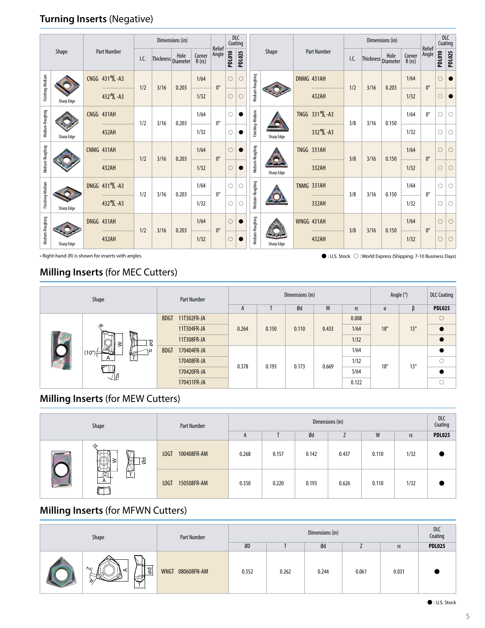#### **Turning Inserts** (Negative)

| Shape            |            | <b>Part Number</b>                                                                                                                                       |                 |       |                    | Dimensions (in) |                          |                 | Coating                        | DLC         |                 |                                |                             |      |                    |       |                          | <b>DLC</b><br>Coating |               |               |   |         |
|------------------|------------|----------------------------------------------------------------------------------------------------------------------------------------------------------|-----------------|-------|--------------------|-----------------|--------------------------|-----------------|--------------------------------|-------------|-----------------|--------------------------------|-----------------------------|------|--------------------|-------|--------------------------|-----------------------|---------------|---------------|---|---------|
|                  |            |                                                                                                                                                          |                 | I.C.  | Thickness Diameter | Hole            | Corner<br>$R(r\epsilon)$ | Relief<br>Angle | <b>PDL010</b><br><b>PDL025</b> |             |                 | Shape                          | <b>Part Number</b>          | I.C. | Thickness Diameter | Hole  | Corner<br>$R(r\epsilon)$ | Relief<br>Angle       | <b>PDL010</b> | <b>PDL025</b> |   |         |
| Finishing-Medium |            |                                                                                                                                                          | CNGG 431 P/L-A3 | 1/2   | 3/16               | 0.203           | 1/64                     | $0^{\circ}$     | $\circ$                        | $\circ$     | Medium-Roughing |                                | DNMG 431AH                  | 1/2  | 3/16               | 0.203 | 1/64                     | $0^{\circ}$           | Ω             |               |   |         |
|                  | Sharp Edge |                                                                                                                                                          | 432 ML-A3       |       |                    |                 | 1/32                     |                 | $\circ$                        | О           |                 |                                | 432AH                       |      |                    |       | 1/32                     |                       | О             |               |   |         |
| Medium-Roughing  |            |                                                                                                                                                          | CNGG 431AH      |       | 1/2<br>3/16        | 0.203           | 1/64                     | $0^{\circ}$     | $\circ$                        |             |                 | Finishing-Medium<br>Sharp Edge | TNGG 331 <sup>P</sup> /L-A3 | 3/8  | 3/16               | 0.150 | 1/64                     | $0^{\circ}$           | O             | O             |   |         |
|                  | Sharp Edge |                                                                                                                                                          | 432AH           |       |                    |                 | 1/32                     |                 | О                              |             |                 |                                | 332 ML-A3                   |      |                    |       | 1/32                     |                       | O             | O             |   |         |
| Medium-Roughing  |            |                                                                                                                                                          | CNMG 431AH      | 1/2   |                    |                 | 3/16                     | 0.203           | 1/64                           | $0^{\circ}$ | $\circ$         |                                | Medium-Roughing             |      | <b>TNGG 331AH</b>  | 3/8   | 3/16                     | 0.150                 | 1/64          | $0^{\circ}$   | О | $\circ$ |
|                  |            |                                                                                                                                                          | 432AH           |       |                    |                 | 1/32                     |                 | $\circ$                        | $\bullet$   |                 | Sharp Edge                     | 332AH                       |      |                    |       | 1/32                     |                       | О             | $\circ$       |   |         |
| Finishing-Medium |            | Medium-Roughing<br>DNGG 431 <sup>P</sup> /L-A3<br>1/64<br>$\circ$<br>Ō<br>$0^{\circ}$<br>1/2<br>3/16<br>0.203<br>432 ML-A3<br>1/32<br>$\circ$<br>$\circ$ |                 |       |                    |                 |                          |                 |                                |             |                 | TNMG 331AH                     | 3/8                         | 3/16 | 0.150              | 1/64  | $0^{\circ}$              | O                     | $\bigcirc$    |               |   |         |
|                  | Sharp Edge |                                                                                                                                                          |                 | 332AH |                    |                 |                          | 1/32            |                                | O           | $\bigcirc$      |                                |                             |      |                    |       |                          |                       |               |               |   |         |
| Medium-Roughing  |            |                                                                                                                                                          | DNGG 431AH      | 1/2   | 3/16               | 0.203           | 1/64                     | $0^{\circ}$     | $\circ$                        |             | Medium-Roughing |                                | WNGG 431AH                  | 3/8  | 3/16               | 0.150 | 1/64                     | $0^{\circ}$           | $\circ$       | $\bigcirc$    |   |         |
|                  | Sharp Edge |                                                                                                                                                          | 432AH           |       |                    |                 | 1/32                     |                 | $\circ$                        |             |                 | Sharp Edge                     | 432AH                       |      |                    |       | 1/32                     |                       | О             | $\circ$       |   |         |

• Right-hand (R) is shown for inserts with angles.

 $\bullet$  : U.S. Stock  $\bigcirc$  : World Express (Shipping: 7-10 Business Days)

#### **Milling Inserts** (for MEC Cutters)

|  | Shape                        | Part Number                |       |       | Dimensions (in) | Angle $(°)$ | <b>DLC Coating</b> |              |            |               |
|--|------------------------------|----------------------------|-------|-------|-----------------|-------------|--------------------|--------------|------------|---------------|
|  |                              |                            | A     |       | Ød              | W           | rε                 | α            |            | <b>PDL025</b> |
|  |                              | 11T302FR-JA<br><b>BDGT</b> |       |       |                 |             | 0.008              |              |            | $\circ$       |
|  | ∽<br>Ī<br>g<br>71            | 11T304FR-JA                | 0.264 | 0.150 | 0.110           | 0.433       | 1/64               | $18^\circ$   | $13^\circ$ |               |
|  |                              | 11T308FR-JA                |       |       |                 |             | 1/32               |              |            |               |
|  | $(10^{\circ})$               | <b>BDGT</b><br>170404FR-JA |       | 0.193 | 0.173           |             | 1/64               |              |            |               |
|  | $\mathbf{r}$<br>$\mathsf{A}$ | 170408FR-JA                |       |       |                 | 0.669       | 1/32               | $18^{\circ}$ |            | O             |
|  |                              | 170420FR-JA                | 0.378 |       |                 |             | 5/64               |              | $13^\circ$ |               |
|  | $\sqrt{\beta}$               | 170431FR-JA                |       |       |                 |             | 0.122              |              |            | Ō             |

### **Milling Inserts** (for MEW Cutters)

| Shape                                  | <b>Part Number</b>  | Dimensions (in) |       |       |       |       |      |               |  |  |
|----------------------------------------|---------------------|-----------------|-------|-------|-------|-------|------|---------------|--|--|
|                                        |                     | $\mathsf{m}$    |       | Ød    |       | W     | r٤   | <b>PDL025</b> |  |  |
| ∽<br>╓┯<br>⊺इ<br>₩                     | 100408FR-AM<br>LOGT | 0.268           | 0.157 | 0.142 | 0.437 | 0.110 | 1/32 |               |  |  |
| 任<br>ו ליי<br>--<br><b>Destruction</b> | 150508FR-AM<br>LOGT | 0.350           | 0.220 | 0.193 | 0.626 | 0.110 | 1/32 |               |  |  |

#### **Milling Inserts** (for MFWN Cutters)

| Shape |                                                         | <b>Part Number</b>         |       | <b>DLC</b><br>Coating |       |       |       |               |
|-------|---------------------------------------------------------|----------------------------|-------|-----------------------|-------|-------|-------|---------------|
|       |                                                         |                            | ØD    |                       | Ød    |       | rε    | <b>PDL025</b> |
|       | -<br>$\sim$<br>ాం<br>c<br>ø<br>$\overline{\phantom{0}}$ | <b>WNGT</b><br>080608FN-AM | 0.552 | 0.262                 | 0.244 | 0.061 | 0.031 |               |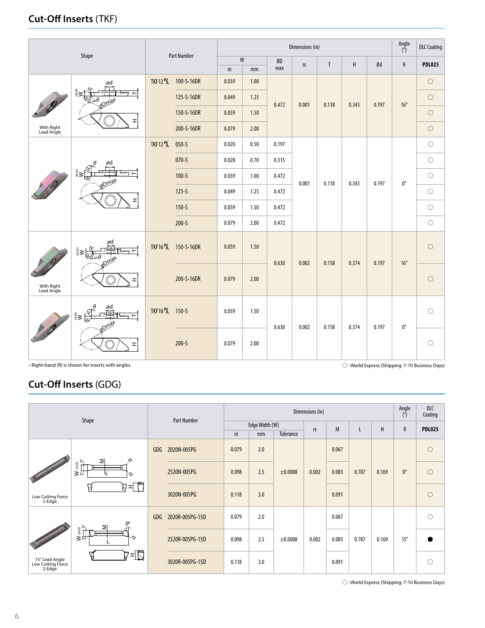#### **Cut-Off Inserts** (TKF)

|                          |                                                                                                | <b>Part Number</b>                      |                                  |               |      | Angle<br>$\overline{(\degree)}$ | <b>DLC Coating</b> |              |         |       |              |               |
|--------------------------|------------------------------------------------------------------------------------------------|-----------------------------------------|----------------------------------|---------------|------|---------------------------------|--------------------|--------------|---------|-------|--------------|---------------|
|                          | Shape                                                                                          |                                         |                                  | W             |      | ØD                              | rε                 | $\mathsf{T}$ | $\sf H$ | Ød    | $\theta$     | <b>PDL025</b> |
|                          |                                                                                                |                                         |                                  | $\mathsf{in}$ | mm   | max                             |                    |              |         |       |              |               |
|                          | ød<br><b>Drnax</b><br>H                                                                        | <b>TKF12 <sup>R</sup>/L</b>             | 100-S-16DR                       | 0.039         | 1.00 |                                 |                    |              |         |       |              | $\circ$       |
|                          |                                                                                                |                                         | 125-S-16DR                       | 0.049         | 1.25 | 0.472                           | 0.001              | 0.118        | 0.343   | 0.197 | $16^{\circ}$ | $\circ$       |
|                          |                                                                                                |                                         | 150-S-16DR                       | 0.059         | 1.50 |                                 |                    |              |         |       |              | $\bigcirc$    |
| With Right<br>Lead Angle |                                                                                                |                                         | 200-S-16DR                       | 0.079         | 2.00 |                                 |                    |              |         |       |              | $\circ$       |
|                          |                                                                                                | <b>TKF12</b> <sup>R</sup> /L            | $050 - S$                        | 0.020         | 0.50 | 0.197                           |                    |              |         |       |              | $\bigcirc$    |
|                          | ød                                                                                             |                                         | $070 - S$                        | 0.028         | 0.70 | 0.315                           | 0.001              |              |         |       |              | $\circ$       |
|                          |                                                                                                |                                         | $100 - S$                        | 0.039         | 1.00 | 0.472                           |                    |              |         |       | $0^{\circ}$  | $\circ$       |
|                          | ᆂ                                                                                              |                                         | $125-5$                          | 0.049         | 1.25 | 0.472                           |                    | 0.118        | 0.343   | 0.197 |              | $\circ$       |
|                          |                                                                                                |                                         | $150 - S$                        | 0.059         | 1.50 | 0.472                           |                    |              |         |       |              | $\circ$       |
|                          |                                                                                                |                                         | $200 - S$                        | 0.079         | 2.00 | 0.472                           |                    |              |         |       |              | $\circ$       |
|                          | ød<br>$rac{3}{4}$                                                                              |                                         | TKF16 <sup>R</sup> /L 150-S-16DR | 0.059         | 1.50 | 0.630                           | 0.002              | 0.158        | 0.374   | 0.197 | $16^{\circ}$ | $\circ$       |
| With Right<br>Lead Angle | H                                                                                              |                                         | 200-S-16DR                       | 0.079         | 2.00 |                                 |                    |              |         |       |              | $\bigcirc$    |
| 10                       | ød<br>$\sum_{i=1}^{n} \mathbf{1}_{i} \mathbf{1}_{\mathbf{1}_{\mathbf{1}}}$<br>⊢<br>$\mathbf r$ | TKF16 <sup>R</sup> / <sub>2</sub> 150-S |                                  | 0.059         | 1.50 | 0.630                           |                    | 0.158        | 0.374   | 0.197 | $0^{\circ}$  | $\circ$       |
|                          |                                                                                                |                                         | $200 - S$                        | 0.079         | 2.00 |                                 | 0.002              |              |         |       |              | $\circ$       |

• Right-hand (R) is shown for inserts with angles.

 $\bigcirc$  : World Express (Shipping: 7-10 Business Days)

#### **Cut-Off Inserts** (GDG)

|                                               |                                                                                                                          |     | <b>Part Number</b> |       |                | Angle<br>$\binom{8}{2}$ | <b>DLC</b><br>Coating |       |       |       |              |                     |
|-----------------------------------------------|--------------------------------------------------------------------------------------------------------------------------|-----|--------------------|-------|----------------|-------------------------|-----------------------|-------|-------|-------|--------------|---------------------|
|                                               | Shape                                                                                                                    |     |                    |       | Edge Width (W) |                         | rε                    | M     | L     | H     | θ            | <b>PDL025</b>       |
|                                               |                                                                                                                          |     |                    | in    | mm             | Tolerance               |                       |       |       |       |              |                     |
|                                               | $\mathcal{E}$                                                                                                            | GDG | 2020N-005PG        | 0.079 | 2.0            | ±0.0008                 |                       | 0.067 |       |       |              | $\bigcirc$          |
|                                               | ≅<br>$\begin{array}{c}\n\phantom{0}4.02 \\ \phantom{0}0.02 \\ \phantom{0}0.02\n\end{array}$<br>≳"<br>$\hat{\mathcal{S}}$ |     | 2520N-005PG        | 0.098 | 2.5            |                         | 0.002                 | 0.083 | 0.787 | 0.169 | $0^{\circ}$  | $\circ$             |
| Low Cutting Force<br>2-Edge                   | けゴ                                                                                                                       |     | 3020N-005PG        | 0.118 | 3.0            |                         |                       | 0.091 |       |       |              | $\bigcirc$          |
|                                               | ⋝                                                                                                                        | GDG | 2020R-005PG-15D    | 0.079 | 2.0            |                         |                       | 0.067 |       |       |              | $\circlearrowright$ |
|                                               | $\frac{W_{\pm 0.02}}{3^{\circ}_+}$<br>Γε                                                                                 |     | 2520R-005PG-15D    | 0.098 | 2.5            | ±0.0008                 | 0.002                 | 0.083 | 0.787 | 0.169 | $15^{\circ}$ |                     |
| 15° Lead Angle<br>Low Cutting Force<br>2-Edge | t≖Q                                                                                                                      |     | 3020R-005PG-15D    | 0.118 | 3.0            |                         |                       | 0.091 |       |       |              | О                   |

ß : World Express (Shipping: 7-10 Business Days)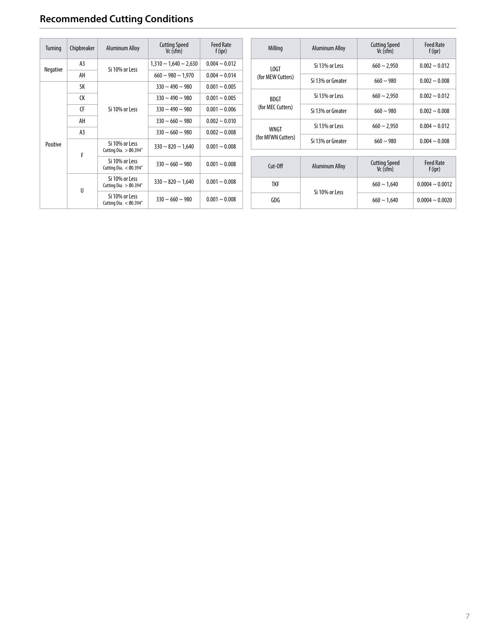## **Recommended Cutting Conditions**

| Turning  | Chipbreaker    | <b>Aluminum Alloy</b>                      | <b>Cutting Speed</b><br>$Vc$ (sfm) | <b>Feed Rate</b><br>f(ipr) | Milling            | <b>Aluminum Alloy</b> | <b>Cutting Speed</b><br>Vc (sfm)   | <b>Feed Rate</b><br>$f$ (ipr) |
|----------|----------------|--------------------------------------------|------------------------------------|----------------------------|--------------------|-----------------------|------------------------------------|-------------------------------|
| Negative | A <sub>3</sub> | Si 10% or Less                             | $1,310 \sim 1,640 \sim 2,630$      | $0.004 \sim 0.012$         | LOGT               | Si 13% or Less        | $660 \sim 2,950$                   | $0.002 \sim 0.012$            |
|          | AH             |                                            | $660 \sim 980 \sim 1.970$          | $0.004 \sim 0.014$         | (for MEW Cutters)  | Si 13% or Greater     | $660 \sim 980$                     | $0.002 - 0.008$               |
|          | SK             |                                            | $330 \sim 490 \sim 980$            | $0.001 - 0.005$            |                    |                       |                                    |                               |
|          | <b>CK</b>      |                                            | $330 \sim 490 \sim 980$            | $0.001 - 0.005$            | <b>BDGT</b>        | Si 13% or Less        | $660 \sim 2.950$                   | $0.002 - 0.012$               |
|          | <b>CF</b>      | Si 10% or Less                             | $330 \sim 490 \sim 980$            | $0.001 - 0.006$            | (for MEC Cutters)  | Si 13% or Greater     | $660 \sim 980$                     | $0.002 - 0.008$               |
|          | AH             |                                            | $330 \sim 660 \sim 980$            | $0.002 \sim 0.010$         |                    | Si 13% or Less        | $660 \sim 2,950$                   | $0.004 \sim 0.012$            |
|          | A <sub>3</sub> |                                            | $330 \sim 660 \sim 980$            | $0.002 - 0.008$            | WNGT               |                       |                                    |                               |
| Positive |                | Si 10% or Less                             | $330 \sim 820 \sim 1.640$          |                            | (for MFWN Cutters) | Si 13% or Greater     | $660 \sim 980$                     | $0.004 - 0.008$               |
|          | F              | Cutting Dia. $>$ Ø0.394"                   |                                    |                            |                    |                       |                                    |                               |
|          |                | Si 10% or Less<br>Cutting Dia. $<$ Ø0.394" | $330 \sim 660 \sim 980$            | $0.001 - 0.008$            | Cut-Off            | <b>Aluminum Alloy</b> | <b>Cutting Speed</b><br>$Vc$ (sfm) | <b>Feed Rate</b><br>$f$ (ipr) |
|          | U              | Si 10% or Less<br>Cutting Dia. $>$ Ø0.394" | $330 \sim 820 \sim 1,640$          | $0.001 - 0.008$            | <b>TKF</b>         |                       | $660 \sim 1,640$                   | $0.0004 \sim 0.0012$          |
|          |                | Si 10% or Less<br>Cutting Dia. $<$ Ø0.394" | $330 \sim 660 \sim 980$            | $0.001 - 0.008$            | GDG                | Si 10% or Less        | $660 \sim 1,640$                   | $0.0004 \sim 0.0020$          |